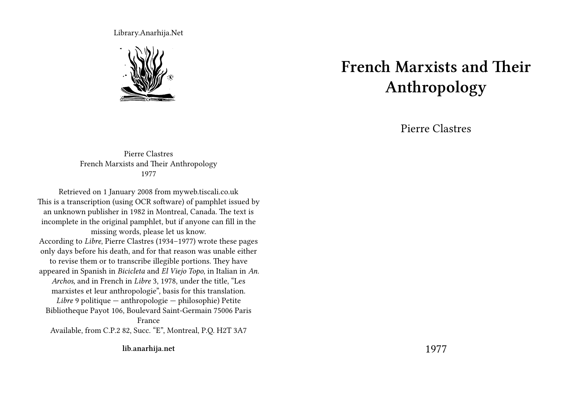Library.Anarhija.Net



## **French Marxists and Their Anthropology**

Pierre Clastres

Pierre Clastres French Marxists and Their Anthropology 1977

Retrieved on 1 January 2008 from myweb.tiscali.co.uk This is a transcription (using OCR software) of pamphlet issued by an unknown publisher in 1982 in Montreal, Canada. The text is incomplete in the original pamphlet, but if anyone can fill in the missing words, please let us know. According to *Libre*, Pierre Clastres (1934–1977) wrote these pages only days before his death, and for that reason was unable either to revise them or to transcribe illegible portions. They have appeared in Spanish in *Bicicleta* and *El Viejo Topo*, in Italian in *An. Archos*, and in French in *Libre* 3, 1978, under the title, "Les marxistes et leur anthropologie", basis for this translation. *Libre* 9 politique — anthropologie — philosophie) Petite Bibliotheque Payot 106, Boulevard Saint-Germain 75006 Paris France Available, from C.P.2 82, Succ. "E", Montreal, P.Q. H2T 3A7

**lib.anarhija.net**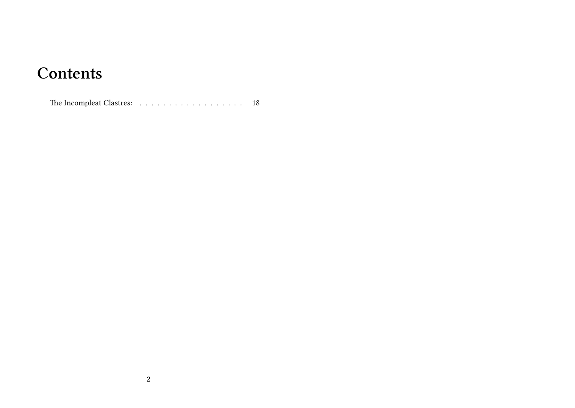## **Contents**

The Incompleat Clastres:  $\dots \dots \dots \dots \dots \dots \dots \dots \dots \dots \quad 18$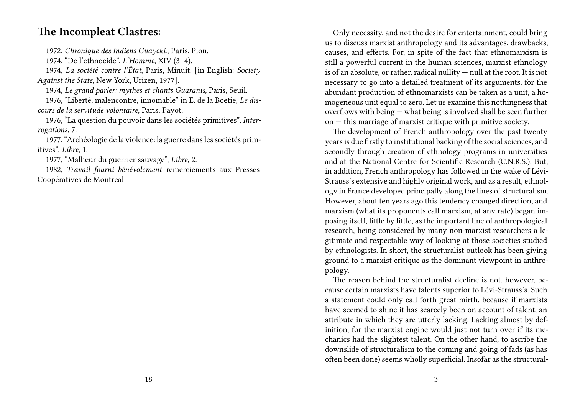## **The Incompleat Clastres:**

1972, *Chronique des Indiens Guaycki*., Paris, Plon.

1974, "De l'ethnocide", *L'Homme*, XIV (3–4).

1974, *La société contre l'État*, Paris, Minuit. [in English: *Society Against the State*, New York, Urizen, 1977].

1974, *Le grand parler: mythes et chants Guaranis*, Paris, Seuil.

1976, "Liberté, malencontre, innomable" in E. de la Boetie, *Le discours de la servitude volontaire*, Paris, Payot.

1976, "La question du pouvoir dans les sociétés primitives", *Interrogations*, 7.

1977, "Archéologie de la violence: la guerre dans les sociétés primitives", *Libre*, 1.

1977, "Malheur du guerrier sauvage", *Libre*, 2.

1982, *Travail fourni bénévolement* remerciements aux Presses Coopératives de Montreal

Only necessity, and not the desire for entertainment, could bring us to discuss marxist anthropology and its advantages, drawbacks, causes, and effects. For, in spite of the fact that ethnomarxism is still a powerful current in the human sciences, marxist ethnology is of an absolute, or rather, radical nullity — null at the root. It is not necessary to go into a detailed treatment of its arguments, for the abundant production of ethnomarxists can be taken as a unit, a homogeneous unit equal to zero. Let us examine this nothingness that overflows with being — what being is involved shall be seen further on — this marriage of marxist critique with primitive society.

The development of French anthropology over the past twenty years is due firstly to institutional backing of the social sciences, and secondly through creation of ethnology programs in universities and at the National Centre for Scientific Research (C.N.R.S.). But, in addition, French anthropology has followed in the wake of Lévi-Strauss's extensive and highly original work, and as a result, ethnology in France developed principally along the lines of structuralism. However, about ten years ago this tendency changed direction, and marxism (what its proponents call marxism, at any rate) began imposing itself, little by little, as the important line of anthropological research, being considered by many non-marxist researchers a legitimate and respectable way of looking at those societies studied by ethnologists. In short, the structuralist outlook has been giving ground to a marxist critique as the dominant viewpoint in anthropology.

The reason behind the structuralist decline is not, however, because certain marxists have talents superior to Lévi-Strauss's. Such a statement could only call forth great mirth, because if marxists have seemed to shine it has scarcely been on account of talent, an attribute in which they are utterly lacking. Lacking almost by definition, for the marxist engine would just not turn over if its mechanics had the slightest talent. On the other hand, to ascribe the downslide of structuralism to the coming and going of fads (as has often been done) seems wholly superficial. Insofar as the structural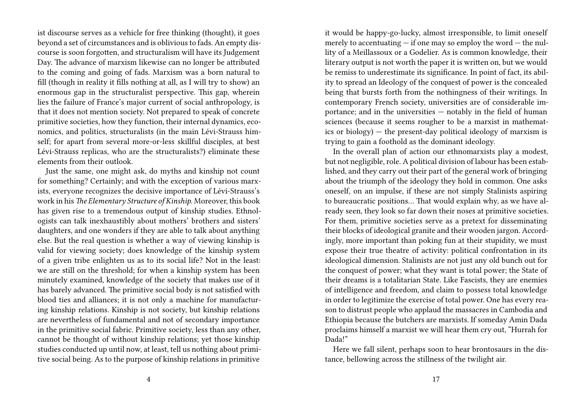ist discourse serves as a vehicle for free thinking (thought), it goes beyond a set of circumstances and is oblivious to fads. An empty discourse is soon forgotten, and structuralism will have its Judgement Day. The advance of marxism likewise can no longer be attributed to the coming and going of fads. Marxism was a born natural to fill (though in reality it fills nothing at all, as I will try to show) an enormous gap in the structuralist perspective. This gap, wherein lies the failure of France's major current of social anthropology, is that it does not mention society. Not prepared to speak of concrete primitive societies, how they function, their internal dynamics, economics, and politics, structuralists (in the main Lévi-Strauss himself; for apart from several more-or-less skillful disciples, at best Lévi-Strauss replicas, who are the structuralists?) eliminate these elements from their outlook.

Just the same, one might ask, do myths and kinship not count for something? Certainly; and with the exception of various marxists, everyone recognizes the decisive importance of Lévi-Strauss's work in his *The Elementary Structure of Kinship*. Moreover, this book has given rise to a tremendous output of kinship studies. Ethnologists can talk inexhaustibly about mothers' brothers and sisters' daughters, and one wonders if they are able to talk about anything else. But the real question is whether a way of viewing kinship is valid for viewing society; does knowledge of the kinship system of a given tribe enlighten us as to its social life? Not in the least: we are still on the threshold; for when a kinship system has been minutely examined, knowledge of the society that makes use of it has barely advanced. The primitive social body is not satisfied with blood ties and alliances; it is not only a machine for manufacturing kinship relations. Kinship is not society, but kinship relations are nevertheless of fundamental and not of secondary importance in the primitive social fabric. Primitive society, less than any other, cannot be thought of without kinship relations; yet those kinship studies conducted up until now, at least, tell us nothing about primitive social being. As to the purpose of kinship relations in primitive

it would be happy-go-lucky, almost irresponsible, to limit oneself merely to accentuating  $-$  if one may so employ the word  $-$  the nullity of a Meillassoux or a Godelier. As is common knowledge, their literary output is not worth the paper it is written on, but we would be remiss to underestimate its significance. In point of fact, its ability to spread an Ideology of the conquest of power is the concealed being that bursts forth from the nothingness of their writings. In contemporary French society, universities are of considerable importance; and in the universities — notably in the field of human sciences (because it seems rougher to be a marxist in mathematics or biology) — the present-day political ideology of marxism is trying to gain a foothold as the dominant ideology.

In the overall plan of action our ethnomarxists play a modest, but not negligible, role. A political division of labour has been established, and they carry out their part of the general work of bringing about the triumph of the ideology they hold in common. One asks oneself, on an impulse, if these are not simply Stalinists aspiring to bureaucratic positions… That would explain why, as we have already seen, they look so far down their noses at primitive societies. For them, primitive societies serve as a pretext for disseminating their blocks of ideological granite and their wooden jargon. Accordingly, more important than poking fun at their stupidity, we must expose their true theatre of activity: political confrontation in its ideological dimension. Stalinists are not just any old bunch out for the conquest of power; what they want is total power; the State of their dreams is a totalitarian State. Like Fascists, they are enemies of intelligence and freedom, and claim to possess total knowledge in order to legitimize the exercise of total power. One has every reason to distrust people who applaud the massacres in Cambodia and Ethiopia because the butchers are marxists. If someday Amin Dada proclaims himself a marxist we will hear them cry out, "Hurrah for Dada!"

Here we fall silent, perhaps soon to hear brontosaurs in the distance, bellowing across the stillness of the twilight air.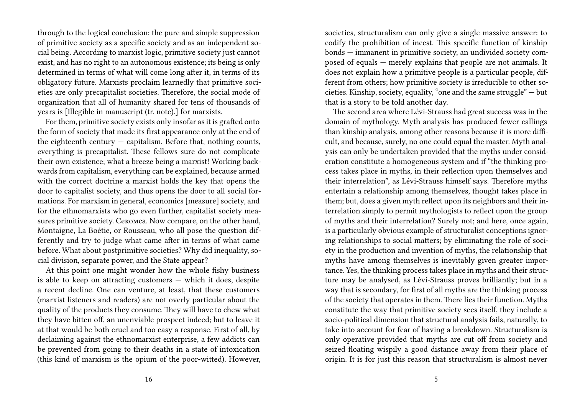through to the logical conclusion: the pure and simple suppression of primitive society as a specific society and as an independent social being. According to marxist logic, primitive society just cannot exist, and has no right to an autonomous existence; its being is only determined in terms of what will come long after it, in terms of its obligatory future. Marxists proclaim learnedly that primitive societies are only precapitalist societies. Therefore, the social mode of organization that all of humanity shared for tens of thousands of years is [Illegible in manuscript (tr. note).] for marxists.

For them, primitive society exists only insofar as it is grafted onto the form of society that made its first appearance only at the end of the eighteenth century  $-$  capitalism. Before that, nothing counts, everything is precapitalist. These fellows sure do not complicate their own existence; what a breeze being a marxist! Working backwards from capitalism, everything can be explained, because armed with the correct doctrine a marxist holds the key that opens the door to capitalist society, and thus opens the door to all social formations. For marxism in general, economics [measure] society, and for the ethnomarxists who go even further, capitalist society measures primitive society. Секомса. Now compare, on the other hand, Montaigne, La Boétie, or Rousseau, who all pose the question differently and try to judge what came after in terms of what came before. What about postprimitive societies? Why did inequality, social division, separate power, and the State appear?

At this point one might wonder how the whole fishy business is able to keep on attracting customers — which it does, despite a recent decline. One can venture, at least, that these customers (marxist listeners and readers) are not overly particular about the quality of the products they consume. They will have to chew what they have bitten off, an unenviable prospect indeed; but to leave it at that would be both cruel and too easy a response. First of all, by declaiming against the ethnomarxist enterprise, a few addicts can be prevented from going to their deaths in a state of intoxication (this kind of marxism is the opium of the poor-witted). However, societies, structuralism can only give a single massive answer: to codify the prohibition of incest. This specific function of kinship bonds — immanent in primitive society, an undivided society composed of equals — merely explains that people are not animals. It does not explain how a primitive people is a particular people, different from others; how primitive society is irreducible to other societies. Kinship, society, equality, "one and the same struggle" — but that is a story to be told another day.

The second area where Lévi-Strauss had great success was in the domain of mythology. Myth analysis has produced fewer callings than kinship analysis, among other reasons because it is more difficult, and because, surely, no one could equal the master. Myth analysis can only be undertaken provided that the myths under consideration constitute a homogeneous system and if "the thinking process takes place in myths, in their reflection upon themselves and their interrelation", as Lévi-Strauss himself says. Therefore myths entertain a relationship among themselves, thought takes place in them; but, does a given myth reflect upon its neighbors and their interrelation simply to permit mythologists to reflect upon the group of myths and their interrelation? Surely not; and here, once again, is a particularly obvious example of structuralist conceptions ignoring relationships to social matters; by eliminating the role of society in the production and invention of myths, the relationship that myths have among themselves is inevitably given greater importance. Yes, the thinking process takes place in myths and their structure may be analysed, as Lévi-Strauss proves brilliantly; but in a way that is secondary, for first of all myths are the thinking process of the society that operates in them. There lies their function. Myths constitute the way that primitive society sees itself, they include a socio-political dimension that structural analysis fails, naturally, to take into account for fear of having a breakdown. Structuralism is only operative provided that myths are cut off from society and seized floating wispily a good distance away from their place of origin. It is for just this reason that structuralism is almost never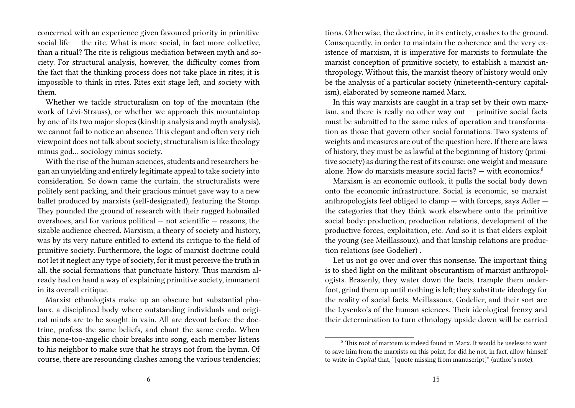concerned with an experience given favoured priority in primitive social life — the rite. What is more social, in fact more collective, than a ritual? The rite is religious mediation between myth and society. For structural analysis, however, the difficulty comes from the fact that the thinking process does not take place in rites; it is impossible to think in rites. Rites exit stage left, and society with them.

Whether we tackle structuralism on top of the mountain (the work of Lévi-Strauss), or whether we approach this mountaintop by one of its two major slopes (kinship analysis and myth analysis), we cannot fail to notice an absence. This elegant and often very rich viewpoint does not talk about society; structuralism is like theology minus god… sociology minus society.

With the rise of the human sciences, students and researchers began an unyielding and entirely legitimate appeal to take society into consideration. So down came the curtain, the structuralists were politely sent packing, and their gracious minuet gave way to a new ballet produced by marxists (self-designated), featuring the Stomp. They pounded the ground of research with their rugged hobnailed overshoes, and for various political — not scientific — reasons, the sizable audience cheered. Marxism, a theory of society and history, was by its very nature entitled to extend its critique to the field of primitive society. Furthermore, the logic of marxist doctrine could not let it neglect any type of society, for it must perceive the truth in all. the social formations that punctuate history. Thus marxism already had on hand a way of explaining primitive society, immanent in its overall critique.

Marxist ethnologists make up an obscure but substantial phalanx, a disciplined body where outstanding individuals and original minds are to be sought in vain. All are devout before the doctrine, profess the same beliefs, and chant the same credo. When this none-too-angelic choir breaks into song, each member listens to his neighbor to make sure that he strays not from the hymn. Of course, there are resounding clashes among the various tendencies;

tions. Otherwise, the doctrine, in its entirety, crashes to the ground. Consequently, in order to maintain the coherence and the very existence of marxism, it is imperative for marxists to formulate the marxist conception of primitive society, to establish a marxist anthropology. Without this, the marxist theory of history would only be the analysis of a particular society (nineteenth-century capitalism), elaborated by someone named Marx.

In this way marxists are caught in a trap set by their own marxism, and there is really no other way out — primitive social facts must be submitted to the same rules of operation and transformation as those that govern other social formations. Two systems of weights and measures are out of the question here. If there are laws of history, they must be as lawful at the beginning of history (primitive society) as during the rest of its course: one weight and measure alone. How do marxists measure social facts?  $-$  with economics.<sup>8</sup>

Marxism is an economic outlook, it pulls the social body down onto the economic infrastructure. Social is economic, so marxist anthropologists feel obliged to clamp — with forceps, says Adler the categories that they think work elsewhere onto the primitive social body: production, production relations, development of the productive forces, exploitation, etc. And so it is that elders exploit the young (see Meillassoux), and that kinship relations are production relations (see Godelier) .

Let us not go over and over this nonsense. The important thing is to shed light on the militant obscurantism of marxist anthropologists. Brazenly, they water down the facts, trample them underfoot, grind them up until nothing is left; they substitute ideology for the reality of social facts. Meillassoux, Godelier, and their sort are the Lysenko's of the human sciences. Their ideological frenzy and their determination to turn ethnology upside down will be carried

 $8$  This root of marxism is indeed found in Marx. It would be useless to want to save him from the marxists on this point, for did he not, in fact, allow himself to write in *Capital* that, "[quote missing from manuscript]" (author's note).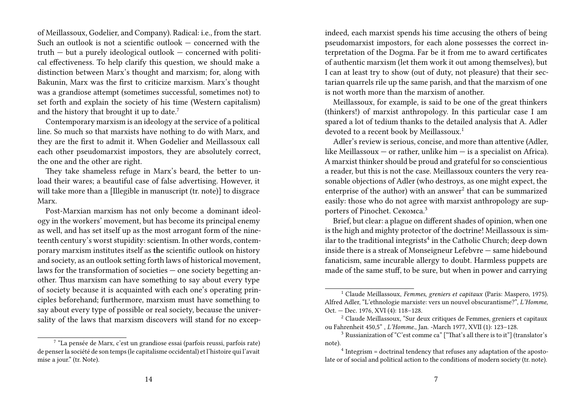of Meillassoux, Godelier, and Company). Radical: i.e., from the start. Such an outlook is not a scientific outlook — concerned with the truth — but a purely ideological outlook — concerned with political effectiveness. To help clarify this question, we should make a distinction between Marx's thought and marxism; for, along with Bakunin, Marx was the first to criticize marxism. Marx's thought was a grandiose attempt (sometimes successful, sometimes not) to set forth and explain the society of his time (Western capitalism) and the history that brought it up to date.<sup>7</sup>

Contemporary marxism is an ideology at the service of a political line. So much so that marxists have nothing to do with Marx, and they are the first to admit it. When Godelier and Meillassoux call each other pseudomarxist impostors, they are absolutely correct, the one and the other are right.

They take shameless refuge in Marx's beard, the better to unload their wares; a beautiful case of false advertising. However, it will take more than a [Illegible in manuscript (tr. note)] to disgrace Marx.

Post-Marxian marxism has not only become a dominant ideology in the workers' movement, but has become its principal enemy as well, and has set itself up as the most arrogant form of the nineteenth century's worst stupidity: scientism. In other words, contemporary marxism institutes itself as **the** scientific outlook on history and society, as an outlook setting forth laws of historical movement, laws for the transformation of societies — one society begetting another. Thus marxism can have something to say about every type of society because it is acquainted with each one's operating principles beforehand; furthermore, marxism must have something to say about every type of possible or real society, because the universality of the laws that marxism discovers will stand for no excep-

indeed, each marxist spends his time accusing the others of being pseudomarxist impostors, for each alone possesses the correct interpretation of the Dogma. Far be it from me to award certificates of authentic marxism (let them work it out among themselves), but I can at least try to show (out of duty, not pleasure) that their sectarian quarrels rile up the same parish, and that the marxism of one is not worth more than the marxism of another.

Meillassoux, for example, is said to be one of the great thinkers (thinkers!) of marxist anthropology. In this particular case I am spared a lot of tedium thanks to the detailed analysis that A. Adler devoted to a recent book by Meillassoux.<sup>1</sup>

Adler's review is serious, concise, and more than attentive (Adler, like Meillassoux  $-$  or rather, unlike him  $-$  is a specialist on Africa). A marxist thinker should be proud and grateful for so conscientious a reader, but this is not the case. Meillassoux counters the very reasonable objections of Adler (who destroys, as one might expect, the enterprise of the author) with an answer<sup>2</sup> that can be summarized easily: those who do not agree with marxist anthropology are supporters of Pinochet. Секомса.<sup>3</sup>

Brief, but clear: a plague on different shades of opinion, when one is the high and mighty protector of the doctrine! Meillassoux is similar to the traditional integrists<sup>4</sup> in the Catholic Church; deep down inside there is a streak of Monseigneur Lefebvre — same hidebound fanaticism, same incurable allergy to doubt. Harmless puppets are made of the same stuff, to be sure, but when in power and carrying

<sup>&</sup>lt;sup>7</sup> "La pensée de Marx, c'est un grandiose essai (parfois reussi, parfois rate) de penser la société de son temps (le capitalisme occidental) et l'histoire qui l'avait mise a jour." (tr. Note).

<sup>1</sup> Claude Meillassoux, *Femmes, greniers et capitaux* (Paris: Maspero, 1975). Alfred Adler, "L'ethnologie marxiste: vers un nouvel obscurantisme?", *L'Homme*, Oct. — Dec. 1976, XVI (4): 118–128.

<sup>2</sup> Claude Meillassoux, "Sur deux critiques de Femmes, greniers et capitaux ou Fahrenheit 450,5" , *L'Homme*., Jan. -March 1977, XVII (1): 123–128.

<sup>&</sup>lt;sup>3</sup> Russianization of "C'est comme ca" ["That's all there is to it"] (translator's note).

<sup>&</sup>lt;sup>4</sup> Integrism = doctrinal tendency that refuses any adaptation of the apostolate or of social and political action to the conditions of modern society (tr. note).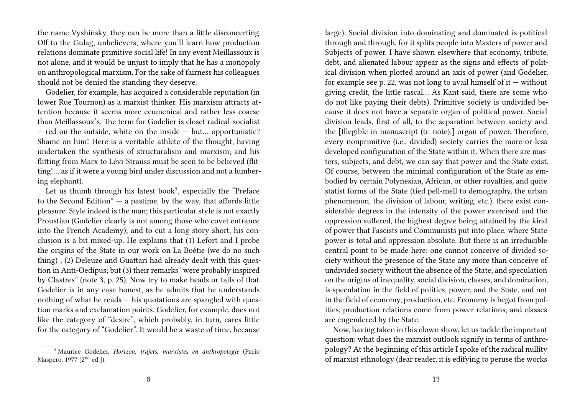the name Vyshinsky, they can be more than a little disconcerting. Off to the Gulag, unbelievers, where you'll learn how production relations dominate primitive social life! In any event Meillassoux is not alone, and it would be unjust to imply that he has a monopoly on anthropological marxism. For the sake of fairness his colleagues should not be denied the standing they deserve.

Godelier, for example, has acquired a considerable reputation (in lower Rue Tournon) as a marxist thinker. His marxism attracts attention because it seems more ecumenical and rather less coarse than Meillassoux's. The term for Godelier is closet radical-socialist — red on the outside, white on the inside — but… opportunistic? Shame on him! Here is a veritable athlete of the thought, having undertaken the synthesis of structuralism and marxism; and his flitting from Marx to Lévi-Strauss must be seen to be believed (flitting!… as if it were a young bird under discussion and not a lumbering elephant).

Let us thumb through his latest book<sup>5</sup>, especially the "Preface to the Second Edition"  $-$  a pastime, by the way, that affords little pleasure. Style indeed is the man; this particular style is not exactly Proustian (Godelier clearly is not among those who covet entrance into the French Academy); and to cut a long story short, his conclusion is a bit mixed-up. He explains that (1) Lefort and I probe the origins of the State in our work on La Boétie (we do no such thing) ; (2) Deleuze and Guattari had already dealt with this question in Anti-Oedipus; but (3) their remarks "were probably inspired by Clastres" (note 3, p. 25). Now try to make heads or tails of that. Godelier is in any case honest, as he admits that he understands nothing of what he reads — his quotations are spangled with question marks and exclamation points. Godelier, for example, does not like the category of "desire", which probably, in turn, cares little for the category of "Godelier". It would be a waste of time, because

large). Social division into dominating and dominated is potitical through and through, for it splits people into Masters of power and Subjects of power. I have shown elsewhere that economy, tribute, debt, and alienated labour appear as the signs and effects of political division when plotted around an axis of power (and Godelier, for example see p. 22, was not long to avail himself of it  $-$  without giving credit, the little rascal… As Kant said, there are some who do not like paying their debts). Primitive society is undivided because it does not have a separate organ of political power. Social division leads, first of all, to the separation between society and the [Illegible in manuscript (tr. note).] organ of power. Therefore, every nonprimitive (i.e., divided) society carries the more-or-less developed configuration of the State within it. When there are masters, subjects, and debt, we can say that power and the State exist. Of course, between the minimal configuration of the State as embodied by certain Polynesian, African, or other royalties, and quite statist forms of the State (tied pell-mell to demography, the urban phenomenon, the division of labour, writing, etc.), there exist considerable degrees in the intensity of the power exercised and the oppression suffered, the highest degree being attained by the kind of power that Fascists and Communists put into place, where State power is total and oppression absolute. But there is an irreducible central point to be made here: one cannot conceive of divided society without the presence of the State any more than conceive of undivided society without the absence of the State; and speculation on the origins of inequality, social division, classes, and domination, is speculation in the field of politics, power, and the State, and not in the field of economy, production, etc. Economy is begot from politics, production relations come from power relations, and classes are engendered by the State.

Now, having taken in this clown show, let us tackle the important question: what does the marxist outlook signify in terms of anthropology? At the beginning of this article I spoke of the radical nullity of marxist ethnology (dear reader, it is edifying to peruse the works

<sup>5</sup> Maurice Godelier, *Horizon, trajets, marxistes en anthropologie* (Paris: Maspero, 1977 [2<sup>nd</sup> ed.]).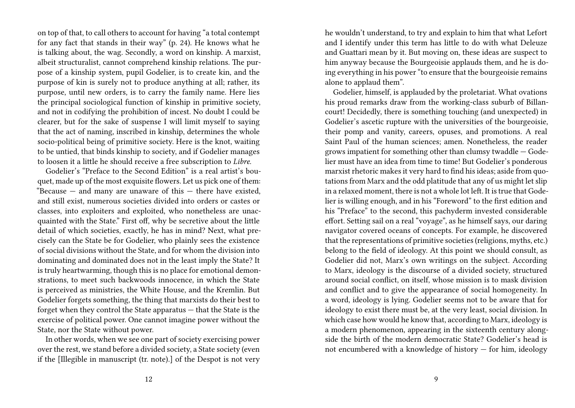on top of that, to call others to account for having "a total contempt for any fact that stands in their way" (p. 24). He knows what he is talking about, the wag. Secondly, a word on kinship. A marxist, albeit structuralist, cannot comprehend kinship relations. The purpose of a kinship system, pupil Godelier, is to create kin, and the purpose of kin is surely not to produce anything at all; rather, its purpose, until new orders, is to carry the family name. Here lies the principal sociological function of kinship in primitive society, and not in codifying the prohibition of incest. No doubt I could be clearer, but for the sake of suspense I will limit myself to saying that the act of naming, inscribed in kinship, determines the whole socio-political being of primitive society. Here is the knot, waiting to be untied, that binds kinship to society, and if Godelier manages to loosen it a little he should receive a free subscription to *Libre*.

Godelier's "Preface to the Second Edition" is a real artist's bouquet, made up of the most exquisite flowers. Let us pick one of them: "Because  $-$  and many are unaware of this  $-$  there have existed, and still exist, numerous societies divided into orders or castes or classes, into exploiters and exploited, who nonetheless are unacquainted with the State." First off, why be secretive about the little detail of which societies, exactly, he has in mind? Next, what precisely can the State be for Godelier, who plainly sees the existence of social divisions without the State, and for whom the division into dominating and dominated does not in the least imply the State? It is truly heartwarming, though this is no place for emotional demonstrations, to meet such backwoods innocence, in which the State is perceived as ministries, the White House, and the Kremlin. But Godelier forgets something, the thing that marxists do their best to forget when they control the State apparatus — that the State is the exercise of political power. One cannot imagine power without the State, nor the State without power.

In other words, when we see one part of society exercising power over the rest, we stand before a divided society, a State society (even if the [Illegible in manuscript (tr. note).] of the Despot is not very he wouldn't understand, to try and explain to him that what Lefort and I identify under this term has little to do with what Deleuze and Guattari mean by it. But moving on, these ideas are suspect to him anyway because the Bourgeoisie applauds them, and he is doing everything in his power "to ensure that the bourgeoisie remains alone to applaud them".

Godelier, himself, is applauded by the proletariat. What ovations his proud remarks draw from the working-class suburb of Billancourt! Decidedly, there is something touching (and unexpected) in Godelier's ascetic rupture with the universities of the bourgeoisie, their pomp and vanity, careers, opuses, and promotions. A real Saint Paul of the human sciences; amen. Nonetheless, the reader grows impatient for something other than clumsy twaddle — Godelier must have an idea from time to time! But Godelier's ponderous marxist rhetoric makes it very hard to find his ideas; aside from quotations from Marx and the odd platitude that any of us might let slip in a relaxed moment, there is not a whole lot left. It is true that Godelier is willing enough, and in his "Foreword" to the first edition and his "Preface" to the second, this pachyderm invested considerable effort. Setting sail on a real "voyage", as he himself says, our daring navigator covered oceans of concepts. For example, he discovered that the representations of primitive societies (religions, myths, etc.) belong to the field of ideology. At this point we should consult, as Godelier did not, Marx's own writings on the subject. According to Marx, ideology is the discourse of a divided society, structured around social conflict, on itself, whose mission is to mask division and conflict and to give the appearance of social homogeneity. In a word, ideology is lying. Godelier seems not to be aware that for ideology to exist there must be, at the very least, social division. In which case how would he know that, according to Marx, ideology is a modern phenomenon, appearing in the sixteenth century alongside the birth of the modern democratic State? Godelier's head is not encumbered with a knowledge of history — for him, ideology